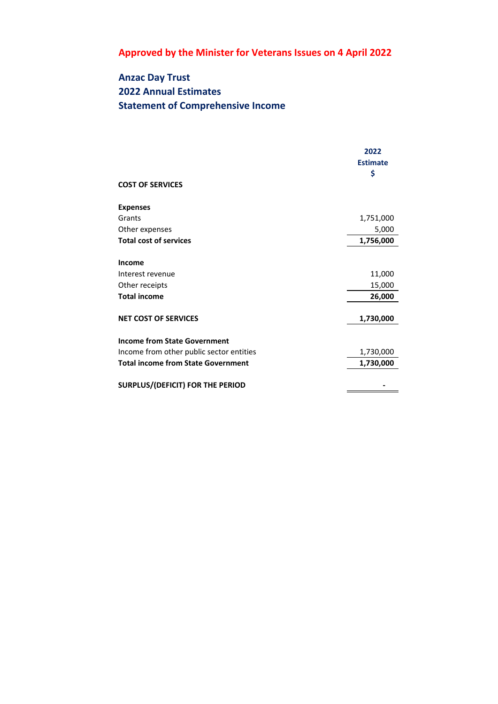## **Anzac Day Trust 2022 Annual Estimates Statement of Comprehensive Income**

|                                           | 2022<br><b>Estimate</b><br>\$ |
|-------------------------------------------|-------------------------------|
| <b>COST OF SERVICES</b>                   |                               |
| <b>Expenses</b>                           |                               |
| Grants                                    | 1,751,000                     |
| Other expenses                            | 5,000                         |
| <b>Total cost of services</b>             | 1,756,000                     |
| Income                                    |                               |
| Interest revenue                          | 11,000                        |
| Other receipts                            | 15,000                        |
| <b>Total income</b>                       | 26,000                        |
| <b>NET COST OF SERVICES</b>               | 1,730,000                     |
| <b>Income from State Government</b>       |                               |
| Income from other public sector entities  | 1,730,000                     |
| <b>Total income from State Government</b> | 1,730,000                     |
| SURPLUS/(DEFICIT) FOR THE PERIOD          |                               |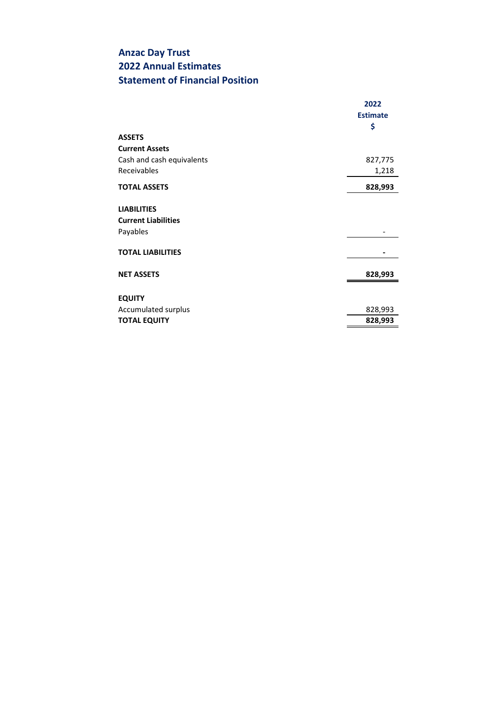## **Anzac Day Trust 2022 Annual Estimates Statement of Financial Position**

|                            | 2022            |
|----------------------------|-----------------|
|                            | <b>Estimate</b> |
|                            | \$              |
| <b>ASSETS</b>              |                 |
| <b>Current Assets</b>      |                 |
| Cash and cash equivalents  | 827,775         |
| Receivables                | 1,218           |
| <b>TOTAL ASSETS</b>        | 828,993         |
| <b>LIABILITIES</b>         |                 |
| <b>Current Liabilities</b> |                 |
| Payables                   |                 |
| <b>TOTAL LIABILITIES</b>   |                 |
| <b>NET ASSETS</b>          | 828,993         |
| <b>EQUITY</b>              |                 |
| Accumulated surplus        | 828,993         |
| <b>TOTAL EQUITY</b>        | 828,993         |